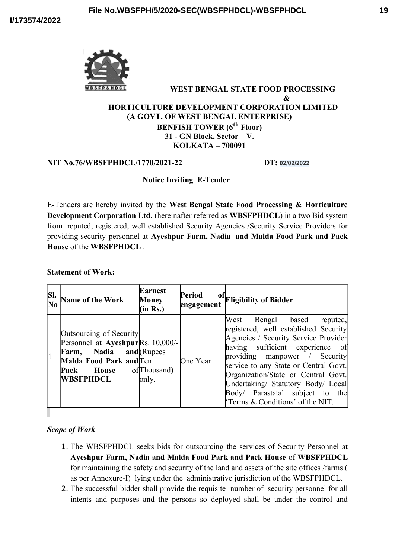

### **WEST BENGAL STATE FOOD PROCESSING & HORTICULTURE DEVELOPMENT CORPORATION LIMITED (A GOVT. OF WEST BENGAL ENTERPRISE) BENFISH TOWER (6th Floor) 31 - GN Block, Sector – V. KOLKATA – 700091**

#### **NIT No.76/WBSFPHDCL/1770/2021-22 DT: 02/02/2022**

# **Notice Inviting E-Tender**

E-Tenders are hereby invited by the **West Bengal State Food Processing & Horticulture Development Corporation Ltd.** (hereinafter referred as **WBSFPHDCL**) in a two Bid system from reputed, registered, well established Security Agencies /Security Service Providers for providing security personnel at **Ayeshpur Farm, Nadia and Malda Food Park and Pack House** of the **WBSFPHDCL** .

#### **Statement of Work:**

| SI. | Name of the Work                                                                                                                                                          | <b>Earnest</b><br>Money<br>(in Rs.) | <b>Period</b><br>engagement | of Eligibility of Bidder                                                                                                                                                                                                                                                                                                                                                            |
|-----|---------------------------------------------------------------------------------------------------------------------------------------------------------------------------|-------------------------------------|-----------------------------|-------------------------------------------------------------------------------------------------------------------------------------------------------------------------------------------------------------------------------------------------------------------------------------------------------------------------------------------------------------------------------------|
|     | Outsourcing of Security<br>Personnel at Ayeshpur Rs. 10,000/-<br>Farm, Nadia and (Rupees<br>Malda Food Park and Ten<br><b>Pack</b> House of Thousand)<br><b>WBSFPHDCL</b> | only.                               | One Year                    | West Bengal based<br>reputed,<br>registered, well established Security<br>Agencies / Security Service Provider<br>having sufficient experience<br>- of<br>providing manpower / Security<br>service to any State or Central Govt.<br>Organization/State or Central Govt.<br>Undertaking/ Statutory Body/ Local<br>Body/ Parastatal subject to the<br>Terms & Conditions' of the NIT. |

*Scope of Work* 

- 1. The WBSFPHDCL seeks bids for outsourcing the services of Security Personnel at **Ayeshpur Farm, Nadia and Malda Food Park and Pack House** of **WBSFPHDCL** for maintaining the safety and security of the land and assets of the site offices /farms ( as per Annexure-I) lying under the administrative jurisdiction of the WBSFPHDCL.
- 2. The successful bidder shall provide the requisite number of security personnel for all intents and purposes and the persons so deployed shall be under the control and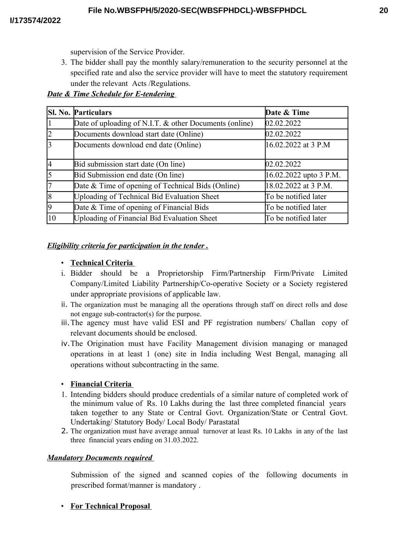supervision of the Service Provider.

3. The bidder shall pay the monthly salary/remuneration to the security personnel at the specified rate and also the service provider will have to meet the statutory requirement under the relevant Acts /Regulations.

*Date & Time Schedule for E-tendering* 

|                | <b>SI. No. Particulars</b>                             | Date & Time            |
|----------------|--------------------------------------------------------|------------------------|
| $\vert$ 1      | Date of uploading of N.I.T. & other Documents (online) | 02.02.2022             |
| $\overline{2}$ | Documents download start date (Online)                 | 02.02.2022             |
| $\overline{3}$ | Documents download end date (Online)                   | $16.02.2022$ at 3 P.M  |
| 4              | Bid submission start date (On line)                    | 02.02.2022             |
| $\overline{5}$ | Bid Submission end date (On line)                      | 16.02.2022 upto 3 P.M. |
| 7              | Date & Time of opening of Technical Bids (Online)      | 18.02.2022 at 3 P.M.   |
| $\sqrt{8}$     | <b>Uploading of Technical Bid Evaluation Sheet</b>     | To be notified later   |
| $\overline{9}$ | Date & Time of opening of Financial Bids               | To be notified later   |
| $ 10\rangle$   | <b>Uploading of Financial Bid Evaluation Sheet</b>     | To be notified later   |

# *Eligibility criteria for participation in the tender .*

## • **Technical Criteria**

- i. Bidder should be a Proprietorship Firm/Partnership Firm/Private Limited Company/Limited Liability Partnership/Co-operative Society or a Society registered under appropriate provisions of applicable law.
- ii. The organization must be managing all the operations through staff on direct rolls and dose not engage sub-contractor(s) for the purpose.
- iii.The agency must have valid ESI and PF registration numbers/ Challan copy of relevant documents should be enclosed.
- iv.The Origination must have Facility Management division managing or managed operations in at least 1 (one) site in India including West Bengal, managing all operations without subcontracting in the same.

# • **Financial Criteria**

- 1. Intending bidders should produce credentials of a similar nature of completed work of the minimum value of Rs. 10 Lakhs during the last three completed financial years taken together to any State or Central Govt. Organization/State or Central Govt. Undertaking/ Statutory Body/ Local Body/ Parastatal
- 2. The organization must have average annual turnover at least Rs. 10 Lakhs in any of the last three financial years ending on 31.03.2022.

# *Mandatory Documents required*

Submission of the signed and scanned copies of the following documents in prescribed format/manner is mandatory .

# • **For Technical Proposal**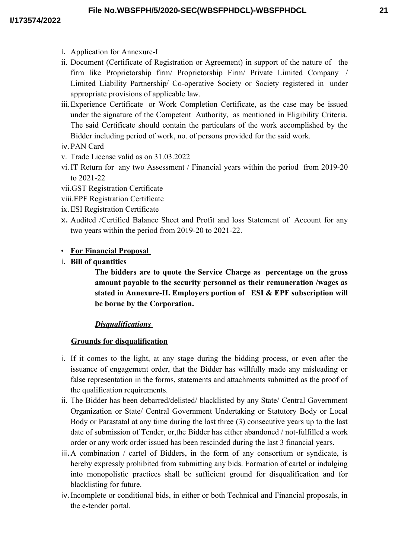**21**

- i. Application for Annexure-I
- ii. Document (Certificate of Registration or Agreement) in support of the nature of the firm like Proprietorship firm/ Proprietorship Firm/ Private Limited Company / Limited Liability Partnership/ Co-operative Society or Society registered in under appropriate provisions of applicable law.
- iii.Experience Certificate or Work Completion Certificate, as the case may be issued under the signature of the Competent Authority, as mentioned in Eligibility Criteria. The said Certificate should contain the particulars of the work accomplished by the Bidder including period of work, no. of persons provided for the said work.
- iv.PAN Card
- v. Trade License valid as on 31.03.2022
- vi.IT Return for any two Assessment / Financial years within the period from 2019-20 to 2021-22
- vii.GST Registration Certificate
- viii.EPF Registration Certificate
- ix.ESI Registration Certificate
- x. Audited /Certified Balance Sheet and Profit and loss Statement of Account for any two years within the period from 2019-20 to 2021-22.
- • **For Financial Proposal**
- i. **Bill of quantities**

**The bidders are to quote the Service Charge as percentage on the gross amount payable to the security personnel as their remuneration /wages as stated in Annexure-II. Employers portion of ESI & EPF subscription will be borne by the Corporation.** 

# *Disqualifications*

# **Grounds for disqualification**

- i. If it comes to the light, at any stage during the bidding process, or even after the issuance of engagement order, that the Bidder has willfully made any misleading or false representation in the forms, statements and attachments submitted as the proof of the qualification requirements.
- ii. The Bidder has been debarred/delisted/ blacklisted by any State/ Central Government Organization or State/ Central Government Undertaking or Statutory Body or Local Body or Parastatal at any time during the last three (3) consecutive years up to the last date of submission of Tender, or,the Bidder has either abandoned / not-fulfilled a work order or any work order issued has been rescinded during the last 3 financial years.
- iii.A combination / cartel of Bidders, in the form of any consortium or syndicate, is hereby expressly prohibited from submitting any bids. Formation of cartel or indulging into monopolistic practices shall be sufficient ground for disqualification and for blacklisting for future.
- iv.Incomplete or conditional bids, in either or both Technical and Financial proposals, in the e-tender portal.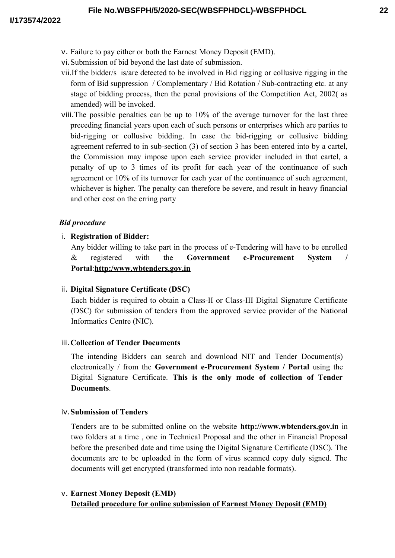- v. Failure to pay either or both the Earnest Money Deposit (EMD).
- vi.Submission of bid beyond the last date of submission.
- vii.If the bidder/s is/are detected to be involved in Bid rigging or collusive rigging in the form of Bid suppression / Complementary / Bid Rotation / Sub-contracting etc. at any stage of bidding process, then the penal provisions of the Competition Act, 2002( as amended) will be invoked.
- viii.The possible penalties can be up to 10% of the average turnover for the last three preceding financial years upon each of such persons or enterprises which are parties to bid-rigging or collusive bidding. In case the bid-rigging or collusive bidding agreement referred to in sub-section (3) of section 3 has been entered into by a cartel, the Commission may impose upon each service provider included in that cartel, a penalty of up to 3 times of its profit for each year of the continuance of such agreement or 10% of its turnover for each year of the continuance of such agreement, whichever is higher. The penalty can therefore be severe, and result in heavy financial and other cost on the erring party

# *Bid procedure*

# i. **Registration of Bidder:**

Any bidder willing to take part in the process of e-Tendering will have to be enrolled & registered with the **Government e-Procurement System / Portal**:**http:/www.wbtenders.gov.in**

# ii. **Digital Signature Certificate (DSC)**

Each bidder is required to obtain a Class-II or Class-III Digital Signature Certificate (DSC) for submission of tenders from the approved service provider of the National Informatics Centre (NIC).

# iii.**Collection of Tender Documents**

The intending Bidders can search and download NIT and Tender Document(s) electronically / from the **Government e-Procurement System / Portal** using the Digital Signature Certificate. **This is the only mode of collection of Tender Documents**.

#### iv.**Submission of Tenders**

Tenders are to be submitted online on the website **http://www.wbtenders.gov.in** in two folders at a time , one in Technical Proposal and the other in Financial Proposal before the prescribed date and time using the Digital Signature Certificate (DSC). The documents are to be uploaded in the form of virus scanned copy duly signed. The documents will get encrypted (transformed into non readable formats).

# v. **Earnest Money Deposit (EMD) Detailed procedure for online submission of Earnest Money Deposit (EMD)**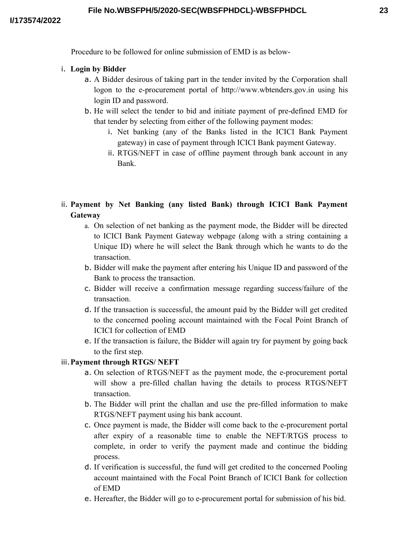Procedure to be followed for online submission of EMD is as below-

## i. **Login by Bidder**

- a. A Bidder desirous of taking part in the tender invited by the Corporation shall logon to the e-procurement portal of http://www.wbtenders.gov.in using his login ID and password.
- b. He will select the tender to bid and initiate payment of pre-defined EMD for that tender by selecting from either of the following payment modes:
	- i. Net banking (any of the Banks listed in the ICICI Bank Payment gateway) in case of payment through ICICI Bank payment Gateway.
	- ii. RTGS/NEFT in case of offline payment through bank account in any Bank.
- ii. **Payment by Net Banking (any listed Bank) through ICICI Bank Payment Gateway**
	- a. On selection of net banking as the payment mode, the Bidder will be directed to ICICI Bank Payment Gateway webpage (along with a string containing a Unique ID) where he will select the Bank through which he wants to do the transaction.
	- b. Bidder will make the payment after entering his Unique ID and password of the Bank to process the transaction.
	- c. Bidder will receive a confirmation message regarding success/failure of the transaction.
	- d. If the transaction is successful, the amount paid by the Bidder will get credited to the concerned pooling account maintained with the Focal Point Branch of ICICI for collection of EMD
	- e. If the transaction is failure, the Bidder will again try for payment by going back to the first step.

# iii.**Payment through RTGS/ NEFT**

- a. On selection of RTGS/NEFT as the payment mode, the e-procurement portal will show a pre-filled challan having the details to process RTGS/NEFT transaction.
- b. The Bidder will print the challan and use the pre-filled information to make RTGS/NEFT payment using his bank account.
- c. Once payment is made, the Bidder will come back to the e-procurement portal after expiry of a reasonable time to enable the NEFT/RTGS process to complete, in order to verify the payment made and continue the bidding process.
- d. If verification is successful, the fund will get credited to the concerned Pooling account maintained with the Focal Point Branch of ICICI Bank for collection of EMD
- e. Hereafter, the Bidder will go to e-procurement portal for submission of his bid.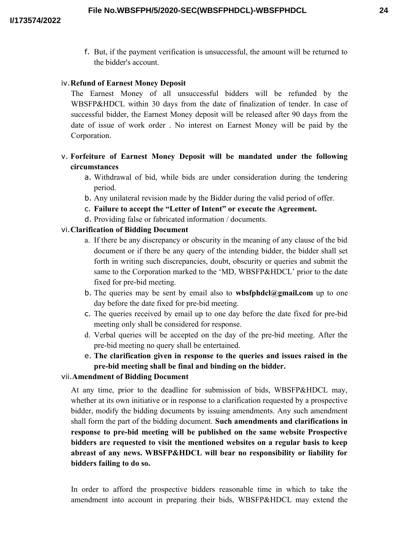f. But, if the payment verification is unsuccessful, the amount will be returned to the bidder's account.

## iv.**Refund of Earnest Money Deposit**

The Earnest Money of all unsuccessful bidders will be refunded by the WBSFP&HDCL within 30 days from the date of finalization of tender. In case of successful bidder, the Earnest Money deposit will be released after 90 days from the date of issue of work order . No interest on Earnest Money will be paid by the Corporation.

# v. **Forfeiture of Earnest Money Deposit will be mandated under the following circumstances**

- a. Withdrawal of bid, while bids are under consideration during the tendering period.
- b. Any unilateral revision made by the Bidder during the valid period of offer.
- c. **Failure to accept the "Letter of Intent" or execute the Agreement.**
- d. Providing false or fabricated information / documents.

# vi.**Clarification of Bidding Document**

- a. If there be any discrepancy or obscurity in the meaning of any clause of the bid document or if there be any query of the intending bidder, the bidder shall set forth in writing such discrepancies, doubt, obscurity or queries and submit the same to the Corporation marked to the 'MD, WBSFP&HDCL' prior to the date fixed for pre-bid meeting.
- b. The queries may be sent by email also to **wbsfphdcl@gmail.com** up to one day before the date fixed for pre-bid meeting.
- c. The queries received by email up to one day before the date fixed for pre-bid meeting only shall be considered for response.
- d. Verbal queries will be accepted on the day of the pre-bid meeting. After the pre-bid meeting no query shall be entertained.
- e. **The clarification given in response to the queries and issues raised in the pre-bid meeting shall be final and binding on the bidder.**

## vii.**Amendment of Bidding Document**

At any time, prior to the deadline for submission of bids, WBSFP&HDCL may, whether at its own initiative or in response to a clarification requested by a prospective bidder, modify the bidding documents by issuing amendments. Any such amendment shall form the part of the bidding document. **Such amendments and clarifications in response to pre-bid meeting will be published on the same website Prospective bidders are requested to visit the mentioned websites on a regular basis to keep abreast of any news. WBSFP&HDCL will bear no responsibility or liability for bidders failing to do so.** 

In order to afford the prospective bidders reasonable time in which to take the amendment into account in preparing their bids, WBSFP&HDCL may extend the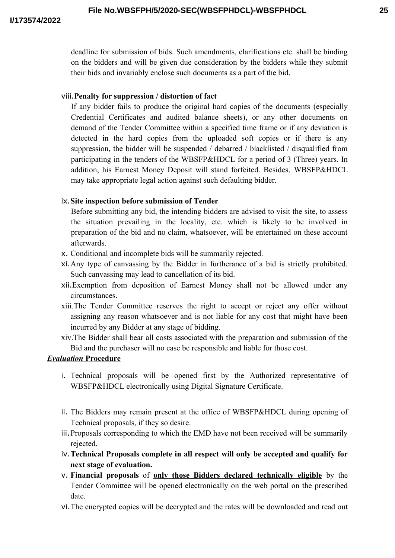deadline for submission of bids. Such amendments, clarifications etc. shall be binding on the bidders and will be given due consideration by the bidders while they submit their bids and invariably enclose such documents as a part of the bid.

#### viii.**Penalty for suppression / distortion of fact**

If any bidder fails to produce the original hard copies of the documents (especially Credential Certificates and audited balance sheets), or any other documents on demand of the Tender Committee within a specified time frame or if any deviation is detected in the hard copies from the uploaded soft copies or if there is any suppression, the bidder will be suspended / debarred / blacklisted / disqualified from participating in the tenders of the WBSFP&HDCL for a period of 3 (Three) years. In addition, his Earnest Money Deposit will stand forfeited. Besides, WBSFP&HDCL may take appropriate legal action against such defaulting bidder.

#### ix.**Site inspection before submission of Tender**

Before submitting any bid, the intending bidders are advised to visit the site, to assess the situation prevailing in the locality, etc. which is likely to be involved in preparation of the bid and no claim, whatsoever, will be entertained on these account afterwards.

- x. Conditional and incomplete bids will be summarily rejected.
- xi.Any type of canvassing by the Bidder in furtherance of a bid is strictly prohibited. Such canvassing may lead to cancellation of its bid.
- xii.Exemption from deposition of Earnest Money shall not be allowed under any circumstances.
- xiii.The Tender Committee reserves the right to accept or reject any offer without assigning any reason whatsoever and is not liable for any cost that might have been incurred by any Bidder at any stage of bidding.
- xiv.The Bidder shall bear all costs associated with the preparation and submission of the Bid and the purchaser will no case be responsible and liable for those cost.

### *Evaluation* **Procedure**

- i. Technical proposals will be opened first by the Authorized representative of WBSFP&HDCL electronically using Digital Signature Certificate.
- ii. The Bidders may remain present at the office of WBSFP&HDCL during opening of Technical proposals, if they so desire.
- iii.Proposals corresponding to which the EMD have not been received will be summarily rejected.
- iv.**Technical Proposals complete in all respect will only be accepted and qualify for next stage of evaluation.**
- v. **Financial proposals** of **only those Bidders declared technically eligible** by the Tender Committee will be opened electronically on the web portal on the prescribed date.
- vi.The encrypted copies will be decrypted and the rates will be downloaded and read out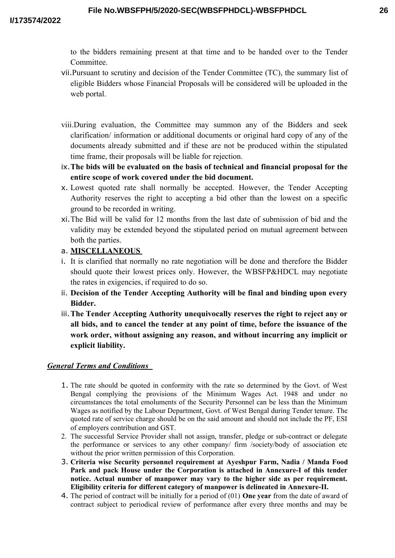to the bidders remaining present at that time and to be handed over to the Tender Committee.

- vii.Pursuant to scrutiny and decision of the Tender Committee (TC), the summary list of eligible Bidders whose Financial Proposals will be considered will be uploaded in the web portal.
- viii.During evaluation, the Committee may summon any of the Bidders and seek clarification/ information or additional documents or original hard copy of any of the documents already submitted and if these are not be produced within the stipulated time frame, their proposals will be liable for rejection.
- ix.**The bids will be evaluated on the basis of technical and financial proposal for the entire scope of work covered under the bid document.**
- x. Lowest quoted rate shall normally be accepted. However, the Tender Accepting Authority reserves the right to accepting a bid other than the lowest on a specific ground to be recorded in writing.
- xi.The Bid will be valid for 12 months from the last date of submission of bid and the validity may be extended beyond the stipulated period on mutual agreement between both the parties.
- a. **MISCELLANEOUS**
- i. It is clarified that normally no rate negotiation will be done and therefore the Bidder should quote their lowest prices only. However, the WBSFP&HDCL may negotiate the rates in exigencies, if required to do so.
- ii. **Decision of the Tender Accepting Authority will be final and binding upon every Bidder.**
- iii.**The Tender Accepting Authority unequivocally reserves the right to reject any or all bids, and to cancel the tender at any point of time, before the issuance of the work order, without assigning any reason, and without incurring any implicit or explicit liability.**

#### *General Terms and Conditions*

- 1. The rate should be quoted in conformity with the rate so determined by the Govt. of West Bengal complying the provisions of the Minimum Wages Act. 1948 and under no circumstances the total emoluments of the Security Personnel can be less than the Minimum Wages as notified by the Labour Department, Govt. of West Bengal during Tender tenure. The quoted rate of service charge should be on the said amount and should not include the PF, ESI of employers contribution and GST.
- 2. The successful Service Provider shall not assign, transfer, pledge or sub-contract or delegate the performance or services to any other company/ firm /society/body of association etc without the prior written permission of this Corporation.
- 3. **Criteria wise Security personnel requirement at Ayeshpur Farm, Nadia / Manda Food Park and pack House under the Corporation is attached in Annexure-I of this tender notice. Actual number of manpower may vary to the higher side as per requirement. Eligibility criteria for different category of manpower is delineated in Annexure-II.**
- 4. The period of contract will be initially for a period of (01) **One year** from the date of award of contract subject to periodical review of performance after every three months and may be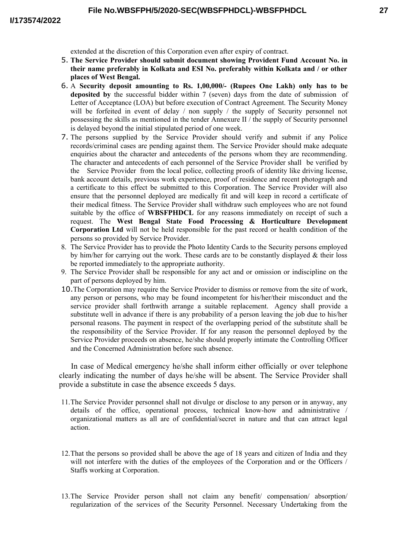extended at the discretion of this Corporation even after expiry of contract.

- 5. **The Service Provider should submit document showing Provident Fund Account No. in their name preferably in Kolkata and ESI No. preferably within Kolkata and / or other places of West Bengal.**
- 6. A **Security deposit amounting to Rs. 1,00,000/- (Rupees One Lakh) only has to be deposited by** the successful bidder within 7 (seven) days from the date of submission of Letter of Acceptance (LOA) but before execution of Contract Agreement. The Security Money will be forfeited in event of delay / non supply / the supply of Security personnel not possessing the skills as mentioned in the tender Annexure II / the supply of Security personnel is delayed beyond the initial stipulated period of one week.
- 7. The persons supplied by the Service Provider should verify and submit if any Police records/criminal cases are pending against them. The Service Provider should make adequate enquiries about the character and antecedents of the persons whom they are recommending. The character and antecedents of each personnel of the Service Provider shall be verified by the Service Provider from the local police, collecting proofs of identity like driving license, bank account details, previous work experience, proof of residence and recent photograph and a certificate to this effect be submitted to this Corporation. The Service Provider will also ensure that the personnel deployed are medically fit and will keep in record a certificate of their medical fitness. The Service Provider shall withdraw such employees who are not found suitable by the office of **WBSFPHDCL** for any reasons immediately on receipt of such a request. The **West Bengal State Food Processing & Horticulture Development Corporation Ltd** will not be held responsible for the past record or health condition of the persons so provided by Service Provider.
- 8. The Service Provider has to provide the Photo Identity Cards to the Security persons employed by him/her for carrying out the work. These cards are to be constantly displayed  $\&$  their loss be reported immediately to the appropriate authority.
- 9. The Service Provider shall be responsible for any act and or omission or indiscipline on the part of persons deployed by him.
- 10.The Corporation may require the Service Provider to dismiss or remove from the site of work, any person or persons, who may be found incompetent for his/her/their misconduct and the service provider shall forthwith arrange a suitable replacement. Agency shall provide a substitute well in advance if there is any probability of a person leaving the job due to his/her personal reasons. The payment in respect of the overlapping period of the substitute shall be the responsibility of the Service Provider. If for any reason the personnel deployed by the Service Provider proceeds on absence, he/she should properly intimate the Controlling Officer and the Concerned Administration before such absence.

In case of Medical emergency he/she shall inform either officially or over telephone clearly indicating the number of days he/she will be absent. The Service Provider shall provide a substitute in case the absence exceeds 5 days.

- 11.The Service Provider personnel shall not divulge or disclose to any person or in anyway, any details of the office, operational process, technical know-how and administrative / organizational matters as all are of confidential/secret in nature and that can attract legal action.
- 12.That the persons so provided shall be above the age of 18 years and citizen of India and they will not interfere with the duties of the employees of the Corporation and or the Officers / Staffs working at Corporation.
- 13.The Service Provider person shall not claim any benefit/ compensation/ absorption/ regularization of the services of the Security Personnel. Necessary Undertaking from the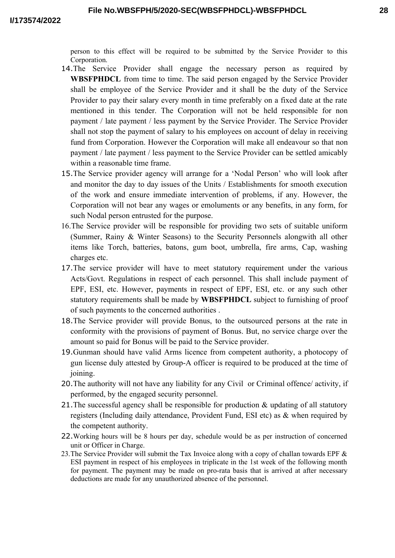person to this effect will be required to be submitted by the Service Provider to this Corporation.

- 14.The Service Provider shall engage the necessary person as required by **WBSFPHDCL** from time to time. The said person engaged by the Service Provider shall be employee of the Service Provider and it shall be the duty of the Service Provider to pay their salary every month in time preferably on a fixed date at the rate mentioned in this tender. The Corporation will not be held responsible for non payment / late payment / less payment by the Service Provider. The Service Provider shall not stop the payment of salary to his employees on account of delay in receiving fund from Corporation. However the Corporation will make all endeavour so that non payment / late payment / less payment to the Service Provider can be settled amicably within a reasonable time frame.
- 15.The Service provider agency will arrange for a 'Nodal Person' who will look after and monitor the day to day issues of the Units / Establishments for smooth execution of the work and ensure immediate intervention of problems, if any. However, the Corporation will not bear any wages or emoluments or any benefits, in any form, for such Nodal person entrusted for the purpose.
- 16.The Service provider will be responsible for providing two sets of suitable uniform (Summer, Rainy & Winter Seasons) to the Security Personnels alongwith all other items like Torch, batteries, batons, gum boot, umbrella, fire arms, Cap, washing charges etc.
- 17.The service provider will have to meet statutory requirement under the various Acts/Govt. Regulations in respect of each personnel. This shall include payment of EPF, ESI, etc. However, payments in respect of EPF, ESI, etc. or any such other statutory requirements shall be made by **WBSFPHDCL** subject to furnishing of proof of such payments to the concerned authorities .
- 18.The Service provider will provide Bonus, to the outsourced persons at the rate in conformity with the provisions of payment of Bonus. But, no service charge over the amount so paid for Bonus will be paid to the Service provider.
- 19.Gunman should have valid Arms licence from competent authority, a photocopy of gun license duly attested by Group-A officer is required to be produced at the time of joining.
- 20.The authority will not have any liability for any Civil or Criminal offence/ activity, if performed, by the engaged security personnel.
- 21. The successful agency shall be responsible for production & updating of all statutory registers (Including daily attendance, Provident Fund, ESI etc) as & when required by the competent authority.
- 22.Working hours will be 8 hours per day, schedule would be as per instruction of concerned unit or Officer in Charge.
- 23. The Service Provider will submit the Tax Invoice along with a copy of challan towards EPF & ESI payment in respect of his employees in triplicate in the 1st week of the following month for payment. The payment may be made on pro-rata basis that is arrived at after necessary deductions are made for any unauthorized absence of the personnel.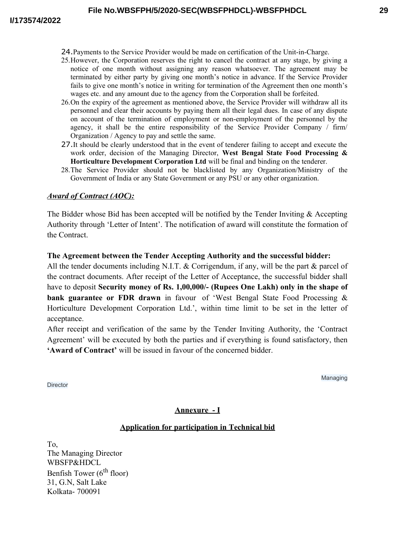- 25.However, the Corporation reserves the right to cancel the contract at any stage, by giving a notice of one month without assigning any reason whatsoever. The agreement may be terminated by either party by giving one month's notice in advance. If the Service Provider fails to give one month's notice in writing for termination of the Agreement then one month's wages etc. and any amount due to the agency from the Corporation shall be forfeited.
- 26.On the expiry of the agreement as mentioned above, the Service Provider will withdraw all its personnel and clear their accounts by paying them all their legal dues. In case of any dispute on account of the termination of employment or non-employment of the personnel by the agency, it shall be the entire responsibility of the Service Provider Company / firm/ Organization / Agency to pay and settle the same.
- 27.It should be clearly understood that in the event of tenderer failing to accept and execute the work order, decision of the Managing Director, **West Bengal State Food Processing & Horticulture Development Corporation Ltd** will be final and binding on the tenderer.
- 28.The Service Provider should not be blacklisted by any Organization/Ministry of the Government of India or any State Government or any PSU or any other organization.

#### *Award of Contract (AOC):*

The Bidder whose Bid has been accepted will be notified by the Tender Inviting & Accepting Authority through 'Letter of Intent'. The notification of award will constitute the formation of the Contract.

#### **The Agreement between the Tender Accepting Authority and the successful bidder:**

All the tender documents including N.I.T.  $&$  Corrigendum, if any, will be the part  $&$  parcel of the contract documents. After receipt of the Letter of Acceptance, the successful bidder shall have to deposit **Security money of Rs. 1,00,000/- (Rupees One Lakh) only in the shape of bank guarantee or FDR drawn** in favour of 'West Bengal State Food Processing & Horticulture Development Corporation Ltd.', within time limit to be set in the letter of acceptance.

After receipt and verification of the same by the Tender Inviting Authority, the 'Contract Agreement' will be executed by both the parties and if everything is found satisfactory, then **'Award of Contract'** will be issued in favour of the concerned bidder.

Managing

# **Annexure - I**

#### **Application for participation in Technical bid**

To, The Managing Director WBSFP&HDCL Benfish Tower ( $6<sup>th</sup>$  floor) 31, G.N, Salt Lake Kolkata- 700091

**Director**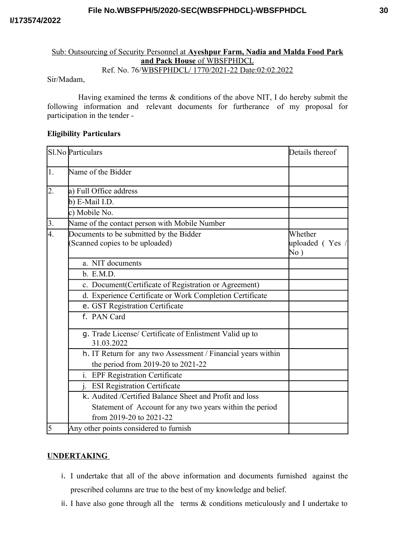#### **File No.WBSFPH/5/2020-SEC(WBSFPHDCL)-WBSFPHDCL**

#### Sub: Outsourcing of Security Personnel at **Ayeshpur Farm, Nadia and Malda Food Park and Pack House** of WBSFPHDCL Ref. No. 76/WBSFPHDCL/ 1770/2021-22 Date:02:02.2022

#### Sir/Madam,

Having examined the terms & conditions of the above NIT, I do hereby submit the following information and relevant documents for furtherance of my proposal for participation in the tender -

#### **Eligibility Particulars**

|                  | Sl.No Particulars                                                         | Details thereof                      |
|------------------|---------------------------------------------------------------------------|--------------------------------------|
| 1.               | Name of the Bidder                                                        |                                      |
| $\overline{2}$ . | a) Full Office address                                                    |                                      |
|                  | b) $E$ -Mail I.D.                                                         |                                      |
|                  | c) Mobile No.                                                             |                                      |
| 3.               | Name of the contact person with Mobile Number                             |                                      |
| $\overline{4}$ . | Documents to be submitted by the Bidder<br>Scanned copies to be uploaded) | Whether<br>uploaded (Yes /<br>$No$ ) |
|                  | a. NIT documents                                                          |                                      |
|                  | b. E.M.D.                                                                 |                                      |
|                  | c. Document(Certificate of Registration or Agreement)                     |                                      |
|                  | d. Experience Certificate or Work Completion Certificate                  |                                      |
|                  | e. GST Registration Certificate                                           |                                      |
|                  | f. PAN Card                                                               |                                      |
|                  | g. Trade License/ Certificate of Enlistment Valid up to<br>31.03.2022     |                                      |
|                  | h. IT Return for any two Assessment / Financial years within              |                                      |
|                  | the period from 2019-20 to 2021-22                                        |                                      |
|                  | i. EPF Registration Certificate                                           |                                      |
|                  | j. ESI Registration Certificate                                           |                                      |
|                  | k. Audited /Certified Balance Sheet and Profit and loss                   |                                      |
|                  | Statement of Account for any two years within the period                  |                                      |
|                  | from 2019-20 to 2021-22                                                   |                                      |
| $\overline{5}$   | Any other points considered to furnish                                    |                                      |

#### **UNDERTAKING**

- i. I undertake that all of the above information and documents furnished against the prescribed columns are true to the best of my knowledge and belief.
- ii. I have also gone through all the terms  $\&$  conditions meticulously and I undertake to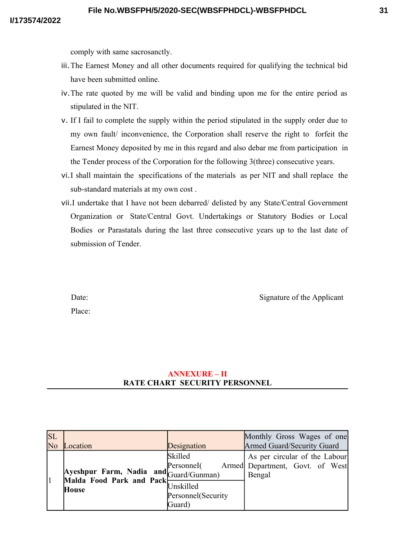comply with same sacrosanctly.

- iii.The Earnest Money and all other documents required for qualifying the technical bid have been submitted online.
- iv.The rate quoted by me will be valid and binding upon me for the entire period as stipulated in the NIT.
- v. If I fail to complete the supply within the period stipulated in the supply order due to my own fault/ inconvenience, the Corporation shall reserve the right to forfeit the Earnest Money deposited by me in this regard and also debar me from participation in the Tender process of the Corporation for the following 3(three) consecutive years.
- vi.I shall maintain the specifications of the materials as per NIT and shall replace the sub-standard materials at my own cost .
- vii.I undertake that I have not been debarred/ delisted by any State/Central Government Organization or State/Central Govt. Undertakings or Statutory Bodies or Local Bodies or Parastatals during the last three consecutive years up to the last date of submission of Tender.

Date: Signature of the Applicant

Place:

## **ANNEXURE – II RATE CHART SECURITY PERSONNEL**

| $\overline{\text{SL}}$<br>No | Location                                                                           | Designation                               | Monthly Gross Wages of one<br>Armed Guard/Security Guard                   |
|------------------------------|------------------------------------------------------------------------------------|-------------------------------------------|----------------------------------------------------------------------------|
|                              | Ayeshpur Farm, Nadia and Guard/Gunman)<br>Malda Food Park and Pack<br><b>House</b> | Skilled<br>PersonneI <sup>(</sup>         | As per circular of the Labour<br>Armed Department, Govt. of West<br>Bengal |
|                              |                                                                                    | Unskilled<br>Personnel(Security<br>Guard) |                                                                            |